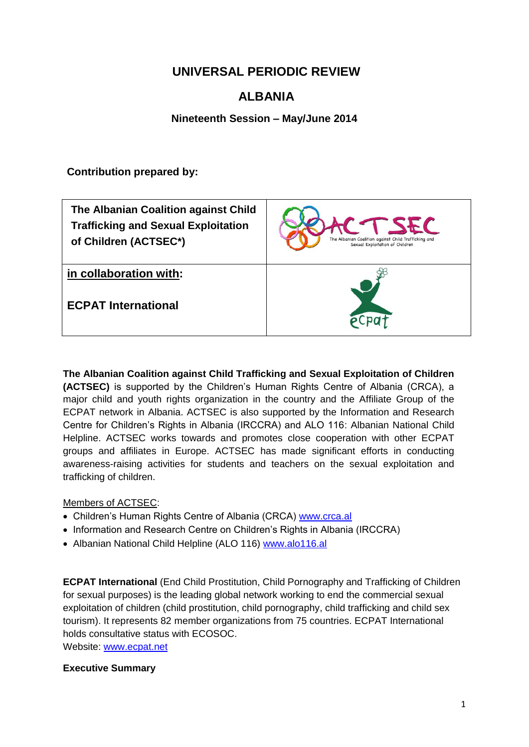## **UNIVERSAL PERIODIC REVIEW**

# **ALBANIA**

**Nineteenth Session – May/June 2014**

**Contribution prepared by:**

| The Albanian Coalition against Child<br><b>Trafficking and Sexual Exploitation</b><br>of Children (ACTSEC*) | The Albanian Coalition against Child Trafficking and<br>Sexual Exploitation of Children |
|-------------------------------------------------------------------------------------------------------------|-----------------------------------------------------------------------------------------|
| in collaboration with:                                                                                      |                                                                                         |
| <b>ECPAT International</b>                                                                                  |                                                                                         |

**The Albanian Coalition against Child Trafficking and Sexual Exploitation of Children (ACTSEC)** is supported by the Children's Human Rights Centre of Albania (CRCA), a major child and youth rights organization in the country and the Affiliate Group of the ECPAT network in Albania. ACTSEC is also supported by the Information and Research Centre for Children's Rights in Albania (IRCCRA) and ALO 116: Albanian National Child Helpline. ACTSEC works towards and promotes close cooperation with other ECPAT groups and affiliates in Europe. ACTSEC has made significant efforts in conducting awareness-raising activities for students and teachers on the sexual exploitation and trafficking of children.

#### Members of ACTSEC:

- Children's Human Rights Centre of Albania (CRCA) [www.crca.al](http://www.crca.al/)
- Information and Research Centre on Children's Rights in Albania (IRCCRA)
- Albanian National Child Helpline (ALO 116) [www.alo116.al](http://www.alo116.al/)

**ECPAT International** (End Child Prostitution, Child Pornography and Trafficking of Children for sexual purposes) is the leading global network working to end the commercial sexual exploitation of children (child prostitution, child pornography, child trafficking and child sex tourism). It represents 82 member organizations from 75 countries. ECPAT International holds consultative status with ECOSOC.

Website: [www.ecpat.net](http://www.ecpat.net/)

#### **Executive Summary**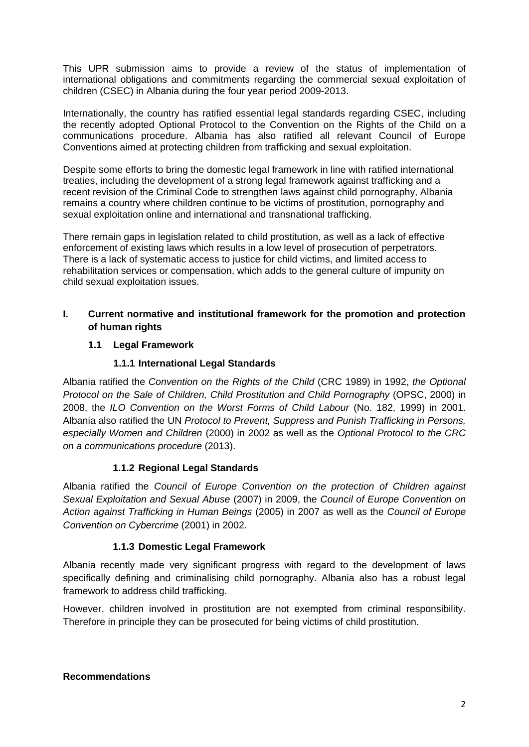This UPR submission aims to provide a review of the status of implementation of international obligations and commitments regarding the commercial sexual exploitation of children (CSEC) in Albania during the four year period 2009-2013.

Internationally, the country has ratified essential legal standards regarding CSEC, including the recently adopted Optional Protocol to the Convention on the Rights of the Child on a communications procedure. Albania has also ratified all relevant Council of Europe Conventions aimed at protecting children from trafficking and sexual exploitation.

Despite some efforts to bring the domestic legal framework in line with ratified international treaties, including the development of a strong legal framework against trafficking and a recent revision of the Criminal Code to strengthen laws against child pornography, Albania remains a country where children continue to be victims of prostitution, pornography and sexual exploitation online and international and transnational trafficking.

There remain gaps in legislation related to child prostitution, as well as a lack of effective enforcement of existing laws which results in a low level of prosecution of perpetrators. There is a lack of systematic access to justice for child victims, and limited access to rehabilitation services or compensation, which adds to the general culture of impunity on child sexual exploitation issues.

### **I. Current normative and institutional framework for the promotion and protection of human rights**

#### **1.1 Legal Framework**

## **1.1.1 International Legal Standards**

Albania ratified the *Convention on the Rights of the Child* (CRC 1989) in 1992, *the Optional Protocol on the Sale of Children, Child Prostitution and Child Pornography* (OPSC, 2000) in 2008, the *ILO Convention on the Worst Forms of Child Labour* (No. 182, 1999) in 2001. Albania also ratified the UN *Protocol to Prevent, Suppress and Punish Trafficking in Persons, especially Women and Children* (2000) in 2002 as well as the *Optional Protocol to the CRC on a communications procedure* (2013).

#### **1.1.2 Regional Legal Standards**

Albania ratified the *Council of Europe Convention on the protection of Children against Sexual Exploitation and Sexual Abuse* (2007) in 2009, the *Council of Europe Convention on Action against Trafficking in Human Beings* (2005) in 2007 as well as the *Council of Europe Convention on Cybercrime* (2001) in 2002.

#### **1.1.3 Domestic Legal Framework**

Albania recently made very significant progress with regard to the development of laws specifically defining and criminalising child pornography. Albania also has a robust legal framework to address child trafficking.

However, children involved in prostitution are not exempted from criminal responsibility. Therefore in principle they can be prosecuted for being victims of child prostitution.

#### **Recommendations**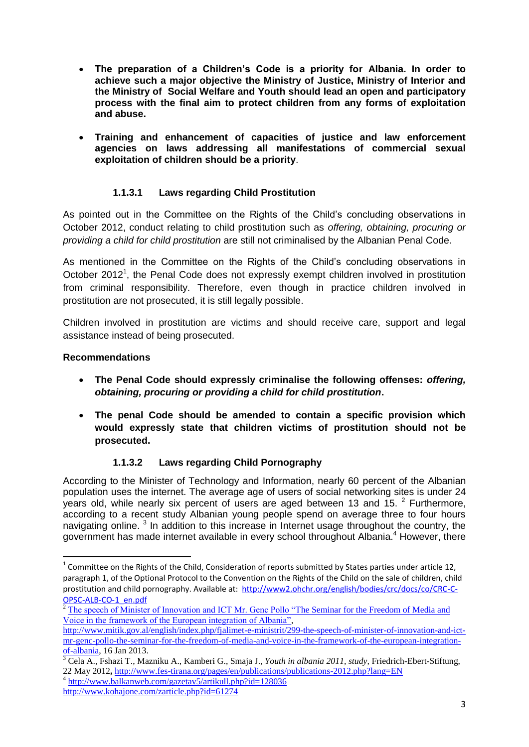- **The preparation of a Children's Code is a priority for Albania. In order to achieve such a major objective the Ministry of Justice, Ministry of Interior and the Ministry of Social Welfare and Youth should lead an open and participatory process with the final aim to protect children from any forms of exploitation and abuse.**
- **Training and enhancement of capacities of justice and law enforcement agencies on laws addressing all manifestations of commercial sexual exploitation of children should be a priority**.

### **1.1.3.1 Laws regarding Child Prostitution**

As pointed out in the Committee on the Rights of the Child's concluding observations in October 2012, conduct relating to child prostitution such as *offering, obtaining, procuring or providing a child for child prostitution* are still not criminalised by the Albanian Penal Code.

As mentioned in the Committee on the Rights of the Child's concluding observations in October 2012<sup>1</sup>, the Penal Code does not expressly exempt children involved in prostitution from criminal responsibility. Therefore, even though in practice children involved in prostitution are not prosecuted, it is still legally possible.

Children involved in prostitution are victims and should receive care, support and legal assistance instead of being prosecuted.

#### **Recommendations**

.

- **The Penal Code should expressly criminalise the following offenses:** *offering, obtaining, procuring or providing a child for child prostitution***.**
- **The penal Code should be amended to contain a specific provision which would expressly state that children victims of prostitution should not be prosecuted.**

#### **1.1.3.2 Laws regarding Child Pornography**

According to the Minister of Technology and Information, nearly 60 percent of the Albanian population uses the internet. The average age of users of social networking sites is under 24 years old, while nearly six percent of users are aged between 13 and 15. <sup>2</sup> Furthermore, according to a recent study Albanian young people spend on average three to four hours navigating online.<sup>3</sup> In addition to this increase in Internet usage throughout the country, the government has made internet available in every school throughout Albania.<sup>4</sup> However, there

 $1$  Committee on the Rights of the Child, Consideration of reports submitted by States parties under article 12, paragraph 1, of the Optional Protocol to the Convention on the Rights of the Child on the sale of children, child prostitution and child pornography. Available at: [http://www2.ohchr.org/english/bodies/crc/docs/co/CRC-C-](http://www2.ohchr.org/english/bodies/crc/docs/co/CRC-C-OPSC-ALB-CO-1_en.pdf)[OPSC-ALB-CO-1\\_en.pdf](http://www2.ohchr.org/english/bodies/crc/docs/co/CRC-C-OPSC-ALB-CO-1_en.pdf)

<sup>2</sup> [The speech of Minister of Innovation and ICT Mr. Genc Pollo "The Seminar for the Freedom of Media and](http://www.mitik.gov.al/english/index.php/fjalimet-e-ministrit/299-the-speech-of-minister-of-innovation-and-ict-mr-genc-pollo-the-seminar-for-the-freedom-of-media-and-voice-in-the-framework-of-the-european-integration-of-albania)  [Voice in the framework of the European integration of Albania",](http://www.mitik.gov.al/english/index.php/fjalimet-e-ministrit/299-the-speech-of-minister-of-innovation-and-ict-mr-genc-pollo-the-seminar-for-the-freedom-of-media-and-voice-in-the-framework-of-the-european-integration-of-albania)

[http://www.mitik.gov.al/english/index.php/fjalimet-e-ministrit/299-the-speech-of-minister-of-innovation-and-ict](http://www.mitik.gov.al/english/index.php/fjalimet-e-ministrit/299-the-speech-of-minister-of-innovation-and-ict-mr-genc-pollo-the-seminar-for-the-freedom-of-media-and-voice-in-the-framework-of-the-european-integration-of-albania)[mr-genc-pollo-the-seminar-for-the-freedom-of-media-and-voice-in-the-framework-of-the-european-integration](http://www.mitik.gov.al/english/index.php/fjalimet-e-ministrit/299-the-speech-of-minister-of-innovation-and-ict-mr-genc-pollo-the-seminar-for-the-freedom-of-media-and-voice-in-the-framework-of-the-european-integration-of-albania)[of-albania,](http://www.mitik.gov.al/english/index.php/fjalimet-e-ministrit/299-the-speech-of-minister-of-innovation-and-ict-mr-genc-pollo-the-seminar-for-the-freedom-of-media-and-voice-in-the-framework-of-the-european-integration-of-albania) 16 Jan 2013.

<sup>3</sup> Cela A., Fshazi T., Mazniku A., Kamberi G., Smaja J., *Youth in albania 2011, study,* Friedrich-Ebert-Stiftung, 22 May 2012**,** <http://www.fes-tirana.org/pages/en/publications/publications-2012.php?lang=EN> 4 <http://www.balkanweb.com/gazetav5/artikull.php?id=128036>

<http://www.kohajone.com/zarticle.php?id=61274>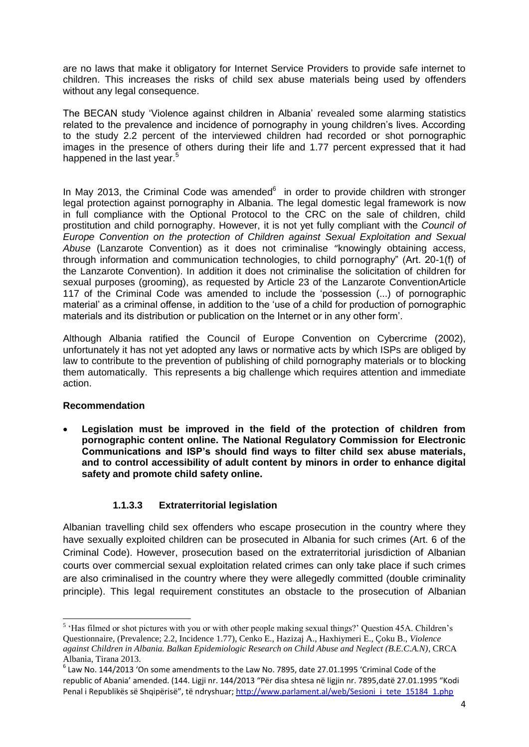are no laws that make it obligatory for Internet Service Providers to provide safe internet to children. This increases the risks of child sex abuse materials being used by offenders without any legal consequence.

The BECAN study 'Violence against children in Albania' revealed some alarming statistics related to the prevalence and incidence of pornography in young children's lives. According to the study 2.2 percent of the interviewed children had recorded or shot pornographic images in the presence of others during their life and 1.77 percent expressed that it had happened in the last year.<sup>5</sup>

In May 2013, the Criminal Code was amended $6$  in order to provide children with stronger legal protection against pornography in Albania. The legal domestic legal framework is now in full compliance with the Optional Protocol to the CRC on the sale of children, child prostitution and child pornography. However, it is not yet fully compliant with the *Council of Europe Convention on the protection of Children against Sexual Exploitation and Sexual Abuse* (Lanzarote Convention) as it does not criminalise "knowingly obtaining access, through information and communication technologies, to child pornography" (Art. 20-1(f) of the Lanzarote Convention). In addition it does not criminalise the solicitation of children for sexual purposes (grooming), as requested by Article 23 of the Lanzarote ConventionArticle 117 of the Criminal Code was amended to include the 'possession (...) of pornographic material' as a criminal offense, in addition to the 'use of a child for production of pornographic materials and its distribution or publication on the Internet or in any other form'.

Although Albania ratified the Council of Europe Convention on Cybercrime (2002), unfortunately it has not yet adopted any laws or normative acts by which ISPs are obliged by law to contribute to the prevention of publishing of child pornography materials or to blocking them automatically. This represents a big challenge which requires attention and immediate action.

#### **Recommendation**

 **Legislation must be improved in the field of the protection of children from pornographic content online. The National Regulatory Commission for Electronic Communications and ISP's should find ways to filter child sex abuse materials, and to control accessibility of adult content by minors in order to enhance digital safety and promote child safety online.** 

#### **1.1.3.3 Extraterritorial legislation**

Albanian travelling child sex offenders who escape prosecution in the country where they have sexually exploited children can be prosecuted in Albania for such crimes (Art. 6 of the Criminal Code). However, prosecution based on the extraterritorial jurisdiction of Albanian courts over commercial sexual exploitation related crimes can only take place if such crimes are also criminalised in the country where they were allegedly committed (double criminality principle). This legal requirement constitutes an obstacle to the prosecution of Albanian

<sup>&</sup>lt;sup>5</sup> 'Has filmed or shot pictures with you or with other people making sexual things?' Question 45A. Children's Questionnaire, (Prevalence; 2.2, Incidence 1.77), Cenko E., Hazizaj A., Haxhiymeri E., Çoku B., *Violence against Children in Albania. Balkan Epidemiologic Research on Child Abuse and Neglect (B.E.C.A.N)*, CRCA Albania, Tirana 2013.

 $^6$  Law No. 144/2013 'On some amendments to the Law No. 7895, date 27.01.1995 'Criminal Code of the republic of Abania' amended. (144. Ligji nr. 144/2013 "Për disa shtesa në ligjin nr. 7895,datë 27.01.1995 "Kodi Penal i Republikës së Shqipërisë", të ndryshuar; [http://www.parlament.al/web/Sesioni\\_i\\_tete\\_15184\\_1.php](http://www.parlament.al/web/Sesioni_i_tete_15184_1.php)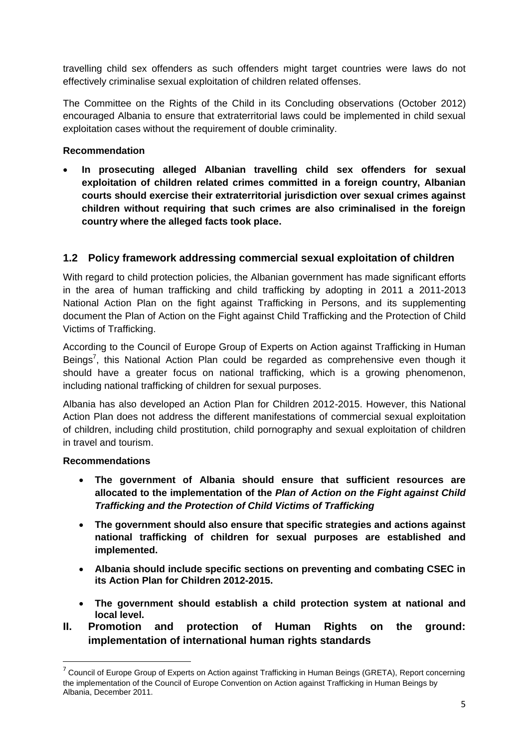travelling child sex offenders as such offenders might target countries were laws do not effectively criminalise sexual exploitation of children related offenses.

The Committee on the Rights of the Child in its Concluding observations (October 2012) encouraged Albania to ensure that extraterritorial laws could be implemented in child sexual exploitation cases without the requirement of double criminality.

#### **Recommendation**

 **In prosecuting alleged Albanian travelling child sex offenders for sexual exploitation of children related crimes committed in a foreign country, Albanian courts should exercise their extraterritorial jurisdiction over sexual crimes against children without requiring that such crimes are also criminalised in the foreign country where the alleged facts took place.**

## **1.2 Policy framework addressing commercial sexual exploitation of children**

With regard to child protection policies, the Albanian government has made significant efforts in the area of human trafficking and child trafficking by adopting in 2011 a 2011-2013 National Action Plan on the fight against Trafficking in Persons, and its supplementing document the Plan of Action on the Fight against Child Trafficking and the Protection of Child Victims of Trafficking.

According to the Council of Europe Group of Experts on Action against Trafficking in Human Beings<sup>7</sup>, this National Action Plan could be regarded as comprehensive even though it should have a greater focus on national trafficking, which is a growing phenomenon, including national trafficking of children for sexual purposes.

Albania has also developed an Action Plan for Children 2012-2015. However, this National Action Plan does not address the different manifestations of commercial sexual exploitation of children, including child prostitution, child pornography and sexual exploitation of children in travel and tourism.

#### **Recommendations**

1

- **The government of Albania should ensure that sufficient resources are allocated to the implementation of the** *Plan of Action on the Fight against Child Trafficking and the Protection of Child Victims of Trafficking*
- **The government should also ensure that specific strategies and actions against national trafficking of children for sexual purposes are established and implemented.**
- **Albania should include specific sections on preventing and combating CSEC in its Action Plan for Children 2012-2015.**
- **The government should establish a child protection system at national and local level.**
- **II. Promotion and protection of Human Rights on the ground: implementation of international human rights standards**

<sup>&</sup>lt;sup>7</sup> Council of Europe Group of Experts on Action against Trafficking in Human Beings (GRETA), Report concerning the implementation of the Council of Europe Convention on Action against Trafficking in Human Beings by Albania, December 2011.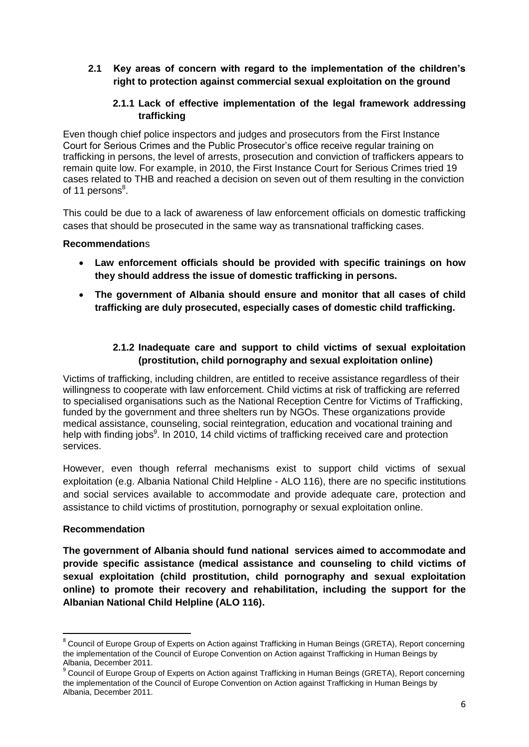### **2.1 Key areas of concern with regard to the implementation of the children's right to protection against commercial sexual exploitation on the ground**

### **2.1.1 Lack of effective implementation of the legal framework addressing trafficking**

Even though chief police inspectors and judges and prosecutors from the First Instance Court for Serious Crimes and the Public Prosecutor's office receive regular training on trafficking in persons, the level of arrests, prosecution and conviction of traffickers appears to remain quite low. For example, in 2010, the First Instance Court for Serious Crimes tried 19 cases related to THB and reached a decision on seven out of them resulting in the conviction of 11 persons<sup>8</sup>.

This could be due to a lack of awareness of law enforcement officials on domestic trafficking cases that should be prosecuted in the same way as transnational trafficking cases.

#### **Recommendation**s

- **Law enforcement officials should be provided with specific trainings on how they should address the issue of domestic trafficking in persons.**
- **The government of Albania should ensure and monitor that all cases of child trafficking are duly prosecuted, especially cases of domestic child trafficking.**

### **2.1.2 Inadequate care and support to child victims of sexual exploitation (prostitution, child pornography and sexual exploitation online)**

Victims of trafficking, including children, are entitled to receive assistance regardless of their willingness to cooperate with law enforcement. Child victims at risk of trafficking are referred to specialised organisations such as the National Reception Centre for Victims of Trafficking, funded by the government and three shelters run by NGOs. These organizations provide medical assistance, counseling, social reintegration, education and vocational training and help with finding jobs<sup>9</sup>. In 2010, 14 child victims of trafficking received care and protection services.

However, even though referral mechanisms exist to support child victims of sexual exploitation (e.g. Albania National Child Helpline - ALO 116), there are no specific institutions and social services available to accommodate and provide adequate care, protection and assistance to child victims of prostitution, pornography or sexual exploitation online.

#### **Recommendation**

1

**The government of Albania should fund national services aimed to accommodate and provide specific assistance (medical assistance and counseling to child victims of sexual exploitation (child prostitution, child pornography and sexual exploitation online) to promote their recovery and rehabilitation, including the support for the Albanian National Child Helpline (ALO 116).**

<sup>&</sup>lt;sup>8</sup> Council of Europe Group of Experts on Action against Trafficking in Human Beings (GRETA), Report concerning the implementation of the Council of Europe Convention on Action against Trafficking in Human Beings by Albania, December 2011.

<sup>&</sup>lt;sup>9</sup> Council of Europe Group of Experts on Action against Trafficking in Human Beings (GRETA), Report concerning the implementation of the Council of Europe Convention on Action against Trafficking in Human Beings by Albania, December 2011.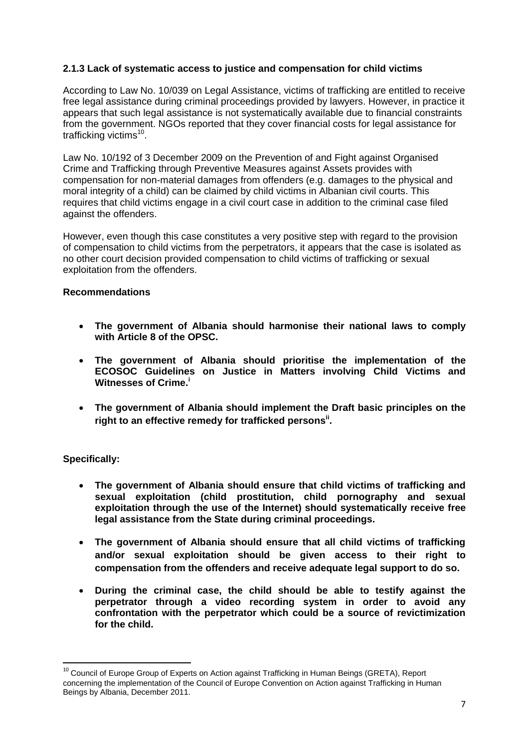#### **2.1.3 Lack of systematic access to justice and compensation for child victims**

According to Law No. 10/039 on Legal Assistance, victims of trafficking are entitled to receive free legal assistance during criminal proceedings provided by lawyers. However, in practice it appears that such legal assistance is not systematically available due to financial constraints from the government. NGOs reported that they cover financial costs for legal assistance for trafficking victims<sup>10</sup>.

Law No. 10/192 of 3 December 2009 on the Prevention of and Fight against Organised Crime and Trafficking through Preventive Measures against Assets provides with compensation for non-material damages from offenders (e.g. damages to the physical and moral integrity of a child) can be claimed by child victims in Albanian civil courts. This requires that child victims engage in a civil court case in addition to the criminal case filed against the offenders.

However, even though this case constitutes a very positive step with regard to the provision of compensation to child victims from the perpetrators, it appears that the case is isolated as no other court decision provided compensation to child victims of trafficking or sexual exploitation from the offenders.

#### **Recommendations**

- **The government of Albania should harmonise their national laws to comply with Article 8 of the OPSC.**
- **The government of Albania should prioritise the implementation of the ECOSOC Guidelines on Justice in Matters involving Child Victims and Witnesses of Crime.<sup>i</sup>**
- **The government of Albania should implement the Draft basic principles on the right to an effective remedy for trafficked personsii .**

#### **Specifically:**

1

- **The government of Albania should ensure that child victims of trafficking and sexual exploitation (child prostitution, child pornography and sexual exploitation through the use of the Internet) should systematically receive free legal assistance from the State during criminal proceedings.**
- **The government of Albania should ensure that all child victims of trafficking and/or sexual exploitation should be given access to their right to compensation from the offenders and receive adequate legal support to do so.**
- **During the criminal case, the child should be able to testify against the perpetrator through a video recording system in order to avoid any confrontation with the perpetrator which could be a source of revictimization for the child.**

<sup>&</sup>lt;sup>10</sup> Council of Europe Group of Experts on Action against Trafficking in Human Beings (GRETA), Report concerning the implementation of the Council of Europe Convention on Action against Trafficking in Human Beings by Albania, December 2011.